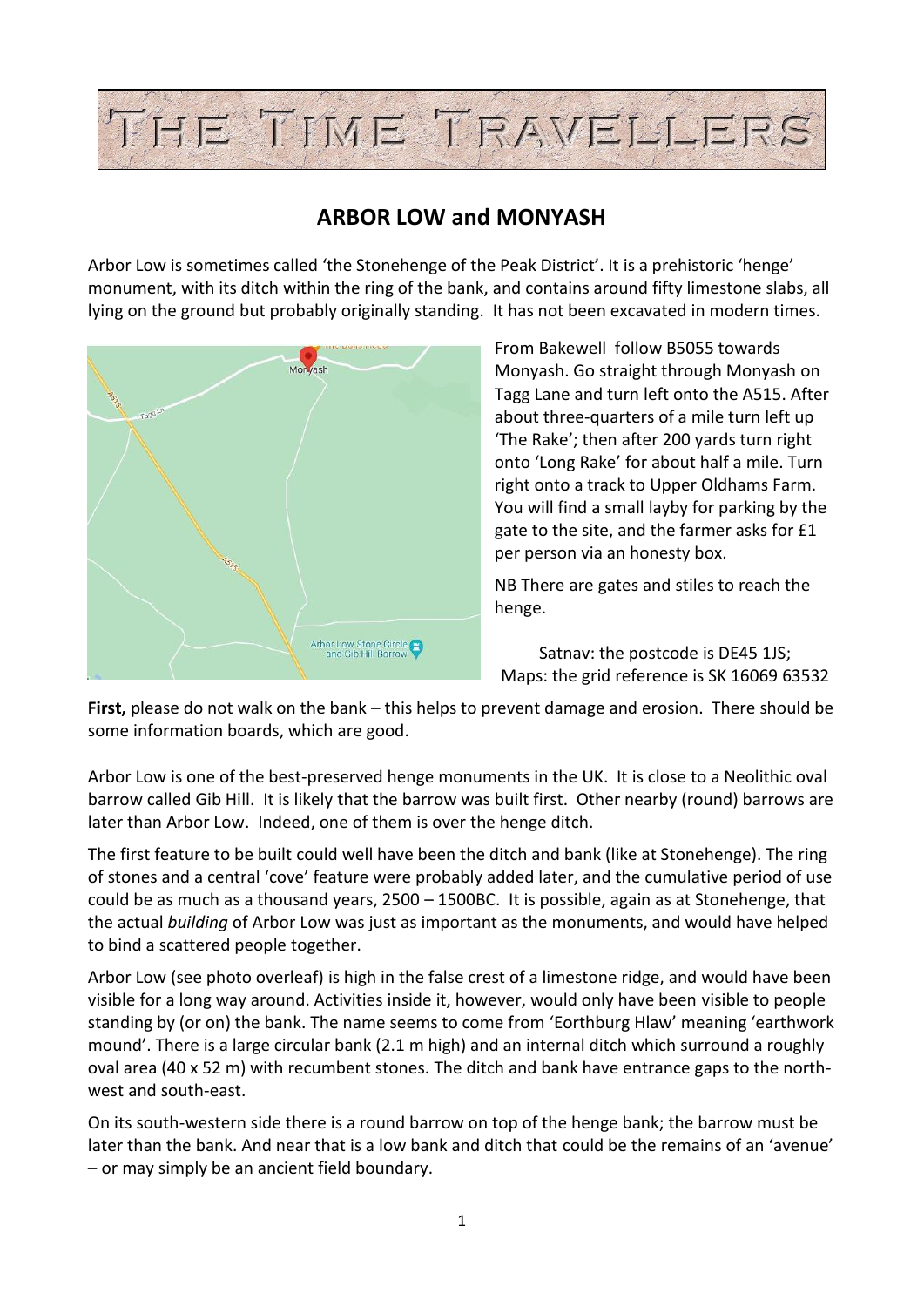

## **ARBOR LOW and MONYASH**

Arbor Low is sometimes called 'the Stonehenge of the Peak District'. It is a prehistoric 'henge' monument, with its ditch within the ring of the bank, and contains around fifty limestone slabs, all lying on the ground but probably originally standing. It has not been excavated in modern times.



From Bakewell follow B5055 towards Monyash. Go straight through Monyash on Tagg Lane and turn left onto the A515. After about three-quarters of a mile turn left up 'The Rake'; then after 200 yards turn right onto 'Long Rake' for about half a mile. Turn right onto a track to Upper Oldhams Farm. You will find a small layby for parking by the gate to the site, and the farmer asks for £1 per person via an honesty box.

NB There are gates and stiles to reach the henge.

Satnav: the postcode is DE45 1JS; Maps: the grid reference is SK 16069 63532

**First,** please do not walk on the bank – this helps to prevent damage and erosion. There should be some information boards, which are good.

Arbor Low is one of the best-preserved henge monuments in the UK. It is close to a Neolithic oval barrow called Gib Hill. It is likely that the barrow was built first. Other nearby (round) barrows are later than Arbor Low. Indeed, one of them is over the henge ditch.

The first feature to be built could well have been the ditch and bank (like at Stonehenge). The ring of stones and a central 'cove' feature were probably added later, and the cumulative period of use could be as much as a thousand years, 2500 – 1500BC. It is possible, again as at Stonehenge, that the actual *building* of Arbor Low was just as important as the monuments, and would have helped to bind a scattered people together.

Arbor Low (see photo overleaf) is high in the false crest of a limestone ridge, and would have been visible for a long way around. Activities inside it, however, would only have been visible to people standing by (or on) the bank. The name seems to come from 'Eorthburg Hlaw' meaning 'earthwork mound'. There is a large circular bank (2.1 m high) and an internal ditch which surround a roughly oval area (40 x 52 m) with recumbent stones. The ditch and bank have entrance gaps to the northwest and south-east.

On its south-western side there is a round barrow on top of the henge bank; the barrow must be later than the bank. And near that is a low bank and ditch that could be the remains of an 'avenue' – or may simply be an ancient field boundary.